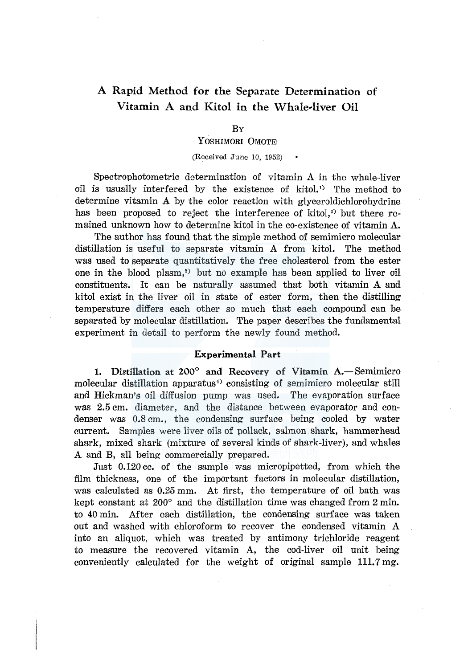# A Rapid Method for the Separate Determination of Vitamin A and Kitol in the Whale-liver Oil

## BY

# YOSHIMORI 0MOTE

(Received June 10, 1952)

Spectrophotometric determination of vitamin A in the whale-liver oil is usually interfered by the existence of kitol.<sup>1</sup> The method to determine vitamin A by the color reaction with glyceroldichlorohydrine has been proposed to reject the interference of kitol, $2$ ) but there remained unknown how to determine kitol in the co-existence of vitamin A.

The author has found that the simple method of semimicro molecular distillation is useful to separate vitamin A from kitol. The method was used to separate quantitatively the free cholesterol from the ester one in the blood plasm,<sup>3)</sup> but no example has been applied to liver oil constituents. It can be naturally assumed that both vitamin A and kitol exist in the liver oil in state of ester form, then the distilling temperature differs each other so much that each compound can be separated by molecular distillation. The paper describes the fundamental experiment in detail to perform the newly found method.

## Experimental Part

1. Distillation at 200° and Recovery of Vitamin A.-Semimicro molecular distillation apparatus<sup>4</sup> consisting of semimicro molecular still and Hickman's oil diffusion pump was used. The evaporation surface was 2.5 cm. diameter, and the distance between evaporator and condenser was 0.8 cm., the condensing surface being cooled by water current. Samples were liver oils of pollack, salmon shark, hammerhead shark, mixed shark (mixture of several kinds of shark-liver), and whales A and B, all being commercially prepared.

Just 0.120 cc. of the sample was micropipetted, from which the film thickness, one of the important factors in molecular distillation, was calculated as 0.25 mm. At first, the temperature of oil bath was kept constant at 200° and the distillation time was changed from 2 min. to 40 min. After each distillation, the condensing surface was taken out and washed with chloroform to recover the condensed vitamin A into an aliquot, which was treated by antimony trichloride reagent to measure the recovered vitamin A, the cod-liver oil unit being conveniently calculated for the weight of original sample 111.7 mg.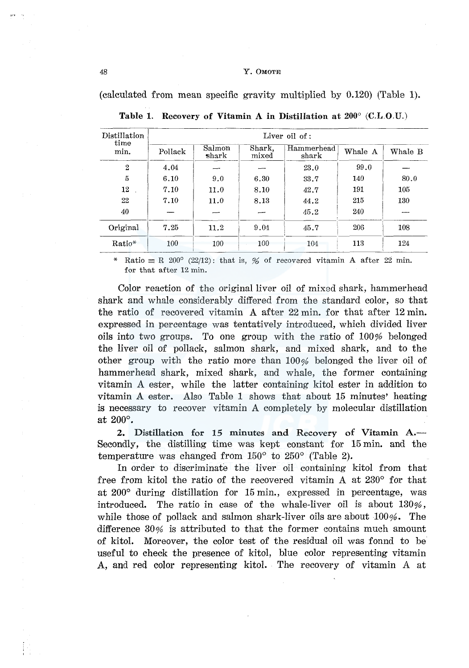#### 48 Y. 0MOTE

(calculated from mean specific gravity multiplied by 0.120) (Table 1).

| Distillation<br>time<br>min. | Liver oil of : |                 |                 |                     |         |         |  |  |
|------------------------------|----------------|-----------------|-----------------|---------------------|---------|---------|--|--|
|                              | Pollack        | Salmon<br>shark | Shark,<br>mixed | Hammerhead<br>shark | Whale A | Whale B |  |  |
| $\mathbf{2}$                 | 4.04           |                 |                 | 23.0                | 99.0    |         |  |  |
| 5                            | 6.10           | 9.0             | 6.30            | 33.7                | 140     | 80.0    |  |  |
| 12 <sup>12</sup>             | 7.10           | 11.0            | 8.10            | 42.7                | 191     | 105     |  |  |
| 22                           | 7.10           | 11.0            | 8.13            | 44.2                | 215     | 130     |  |  |
| 40                           |                |                 |                 | 45.2                | 240     |         |  |  |
| Original                     | 7.25           | 11.2            | 9.04            | 45.7                | 206     | 108     |  |  |
| Ratio*                       | 100            | 100             | 100             | 104                 | 113     | 124     |  |  |

Table 1. Recovery of Vitamin A in Distillation at 200° (C.L.O.U.)

\* Ratio  $\equiv$  R 200° (22/12): that is, % of recovered vitamin A after 22 min. for that after 12 min.

Color reaction of the original liver oil of mixed shark, hammerhead shark and whale considerably differed from the standard color, so that the ratio of recovered vitamin A after 22 min. for that after 12 min. expressed in percentage was tentatively introduced, which divided liver oils into two groups. To one group with the ratio of 100% belonged the liver oil of pollack, salmon shark, and mixed shark, and to the other group with the ratio more than 100% belonged the liver oil of hammerhead shark, mixed shark, and whale, the former containing vitamin A ester, while the latter containing kitol ester in addition to vitamin A ester. Also Table 1 shows that about 15 minutes' heating is necessary to recover vitamin A completely by molecular distillation at 200°.

2. Distillation for 15 minutes and Recovery of Vitamin A.-Secondly, the distilling time was kept constant for 15 min. and the temperature was changed from 150° to 250° (Table 2).

In order to discriminate the liver oil containing kitol from that free from kitol the ratio of the recovered vitamin A at 230° for that at 200° during distillation for 15 min., expressed in percentage, was introduced. The ratio in case of the whale-liver oil is about  $130\%$ , while those of pollack and salmon shark-liver oils are about  $100\%$ . The difference 30% is attributed to that the former contains much amount of kitol. Moreover, the color test of the residual oil was found to be useful to check the presence of kitol, blue color representing vitamin A, and red color representing kitol. The recovery of vitamin A at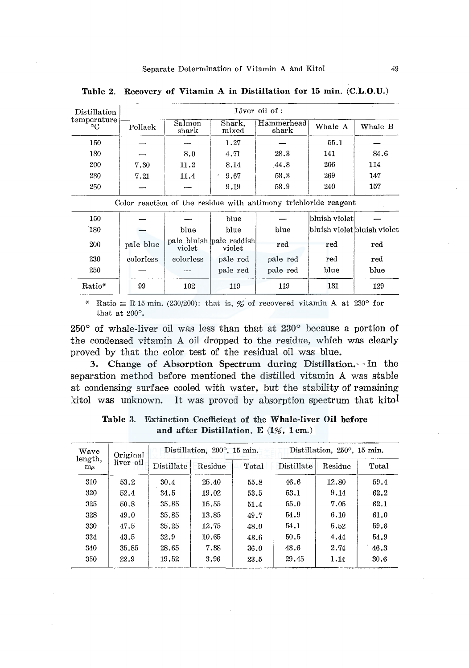Table 2. Recovery of Vitamin A in Distillation for 15 min. (C.L.O.U.)

| Distillation<br>temperature<br>$\circ$ C | Liver oil of: |                 |                 |                     |         |         |  |
|------------------------------------------|---------------|-----------------|-----------------|---------------------|---------|---------|--|
|                                          | Pollack       | Salmon<br>shark | Shark,<br>mixed | Hammerhead<br>shark | Whale A | Whale B |  |
| 150                                      |               |                 | 1.27            |                     | 55.1    |         |  |
| 180                                      |               | 8.0             | 4.71            | 28.3                | 141     | 84.6    |  |
| 200                                      | 7.30          | 11.2            | 8.14            | 44.8                | 206     | 114     |  |
| 230                                      | 7.21          | 11.4            | 9.67            | 53.3                | 269     | 147     |  |
| 250                                      |               |                 | 9.19            | 53.9                | 240     | 157     |  |

| Color reaction of the residue with antimony trichloride reagent |           |           |                                    |          |               |                             |  |  |
|-----------------------------------------------------------------|-----------|-----------|------------------------------------|----------|---------------|-----------------------------|--|--|
| 150                                                             |           |           | blue                               |          | bluish violet |                             |  |  |
| 180                                                             |           | blue      | blue                               | blue     |               | bluish violet bluish violet |  |  |
| 200                                                             | pale blue | violet    | pale bluish pale reddish<br>violet | red      | red           | red                         |  |  |
| 230                                                             | colorless | colorless | pale red                           | pale red | red           | red                         |  |  |
| 250                                                             |           |           | pale red                           | pale red | blue          | blue                        |  |  |
| Ratio*                                                          | 99        | 102       | 119                                | 119      | 131           | 129                         |  |  |

\* Ratio  $\equiv$  R 15 min. (230/200): that is, % of recovered vitamin A at 230° for that at 200°.

250° of whale-liver oil was less than that at 230° because a portion of the condensed vitamin A oil dropped to the residue, which was clearly proved by that the color test of the residual oil was blue.

3. Change of Absorption Spectrum during Distillation.- In the separation method before mentioned the distilled vitamin A was stable at condensing surface cooled with water, but the stability of remaining kitol was unknown. It was proved by absorption spectrum that kitol

| Wave<br>length,<br>$m\mu$ | Original<br>liver oil |            | Distillation, 200°, 15 min. |       | Distillation, 250°, 15 min. |         |       |
|---------------------------|-----------------------|------------|-----------------------------|-------|-----------------------------|---------|-------|
|                           |                       | Distillate | Residue                     | Total | Distillate                  | Residue | Total |
| 310                       | 53.2                  | 30.4       | 25.40                       | 55.8  | 46.6                        | 12.80   | 59.4  |
| 320                       | 52.4                  | 34.5       | 19.02                       | 53.5  | 53.1                        | 9.14    | 62.2  |
| 325                       | 50.8                  | 35.85      | 15.55                       | 51.4  | 55.0                        | 7.05    | 62.1  |
| 328                       | 49.0                  | 35.85      | 13.85                       | 49.7  | 54.9                        | 6.10    | 61.0  |
| 330                       | 47.5                  | 35.25      | 12.75                       | 48.0  | 54.1                        | 5.52    | 59.6  |
| 334                       | 43.5                  | 32.9       | 10.65                       | 43.6  | 50.5                        | 4.44    | 54.9  |
| 340                       | 35.85                 | 28.65      | 7.38                        | 36.0  | 43.6                        | 2.74    | 46.3  |
| 350                       | 22.9                  | 19.52      | 3.96                        | 23.5  | 29.45                       | 1.14    | 30.6  |

Table 3. Extinction Coefficient of the Whale-liver Oil before and after Distillation, E (1%, lcm.)